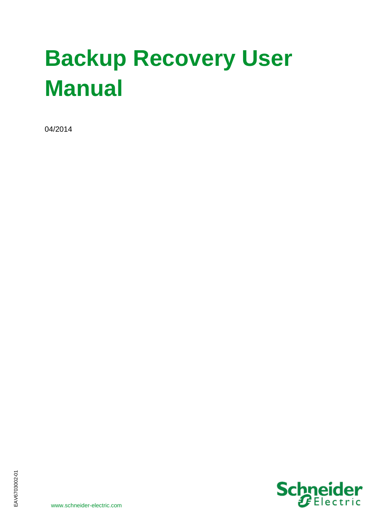# **Backup Recovery User Manual**

04/2014

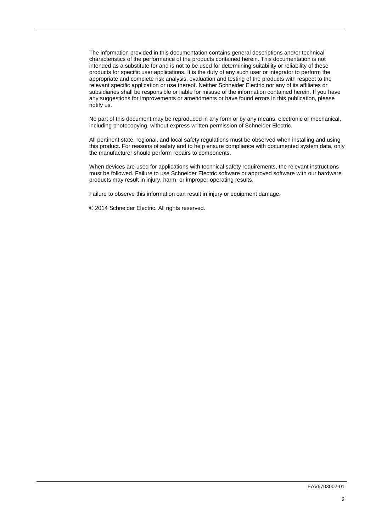The information provided in this documentation contains general descriptions and/or technical characteristics of the performance of the products contained herein. This documentation is not intended as a substitute for and is not to be used for determining suitability or reliability of these products for specific user applications. It is the duty of any such user or integrator to perform the appropriate and complete risk analysis, evaluation and testing of the products with respect to the relevant specific application or use thereof. Neither Schneider Electric nor any of its affiliates or subsidiaries shall be responsible or liable for misuse of the information contained herein. If you have any suggestions for improvements or amendments or have found errors in this publication, please notify us.

No part of this document may be reproduced in any form or by any means, electronic or mechanical, including photocopying, without express written permission of Schneider Electric.

All pertinent state, regional, and local safety regulations must be observed when installing and using this product. For reasons of safety and to help ensure compliance with documented system data, only the manufacturer should perform repairs to components.

When devices are used for applications with technical safety requirements, the relevant instructions must be followed. Failure to use Schneider Electric software or approved software with our hardware products may result in injury, harm, or improper operating results.

Failure to observe this information can result in injury or equipment damage.

© 2014 Schneider Electric. All rights reserved.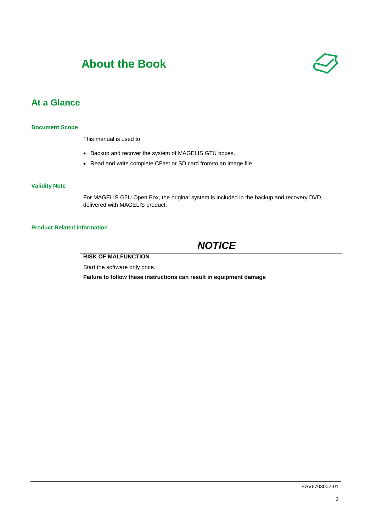## **About the Book**

## **At a Glance**

#### **Document Scope**

This manual is used to:

- Backup and recover the system of MAGELIS GTU boxes.
- Read and write complete CFast or SD card from/to an image file.

#### **Validity Note**

For MAGELIS G5U Open Box, the original system is included in the backup and recovery DVD, delivered with MAGELIS product.

#### **Product Related Information**

| <b>NOTICE</b>                                                       |
|---------------------------------------------------------------------|
| <b>RISK OF MALFUNCTION</b>                                          |
| Start the software only once.                                       |
| Failure to follow these instructions can result in equipment damage |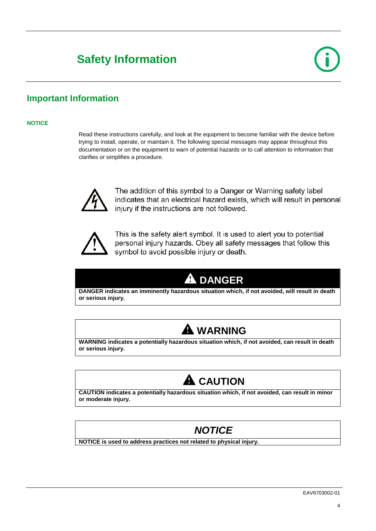# **Safety Information**

## **Important Information**

#### **NOTICE**

Read these instructions carefully, and look at the equipment to become familiar with the device before trying to install, operate, or maintain it. The following special messages may appear throughout this documentation or on the equipment to warn of potential hazards or to call attention to information that clarifies or simplifies a procedure.



The addition of this symbol to a Danger or Warning safety label indicates that an electrical hazard exists, which will result in personal injury if the instructions are not followed.



This is the safety alert symbol. It is used to alert you to potential personal injury hazards. Obey all safety messages that follow this symbol to avoid possible injury or death.

## **A** DANGER

**DANGER indicates an imminently hazardous situation which, if not avoided, will result in death or serious injury.**



**WARNING indicates a potentially hazardous situation which, if not avoided, can result in death or serious injury.**



**CAUTION indicates a potentially hazardous situation which, if not avoided, can result in minor or moderate injury.**

## *NOTICE*

**NOTICE is used to address practices not related to physical injury.**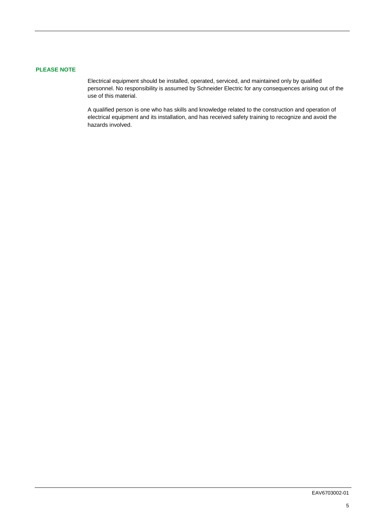#### **PLEASE NOTE**

Electrical equipment should be installed, operated, serviced, and maintained only by qualified personnel. No responsibility is assumed by Schneider Electric for any consequences arising out of the use of this material.

A qualified person is one who has skills and knowledge related to the construction and operation of electrical equipment and its installation, and has received safety training to recognize and avoid the hazards involved.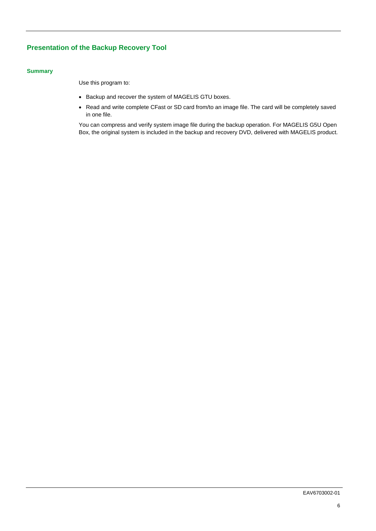#### **Presentation of the Backup Recovery Tool**

#### **Summary**

Use this program to:

- Backup and recover the system of MAGELIS GTU boxes.
- Read and write complete CFast or SD card from/to an image file. The card will be completely saved in one file.

You can compress and verify system image file during the backup operation. For MAGELIS G5U Open Box, the original system is included in the backup and recovery DVD, delivered with MAGELIS product.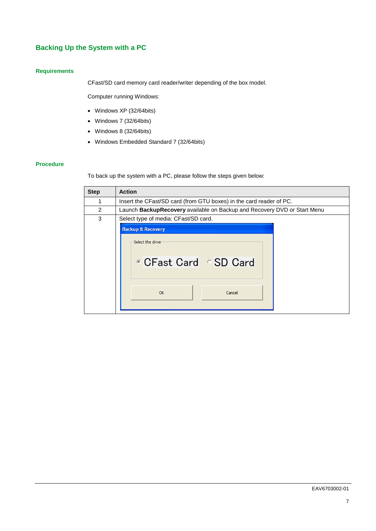## <span id="page-6-0"></span>**Backing Up the System with a PC**

#### **Requirements**

CFast/SD card memory card reader/writer depending of the box model.

Computer running Windows:

- Windows XP (32/64bits)
- Windows 7 (32/64bits)
- Windows 8 (32/64bits)
- Windows Embedded Standard 7 (32/64bits)

#### **Procedure**

To back up the system with a PC, please follow the steps given below:

| <b>Step</b> | <b>Action</b>                                                                          |
|-------------|----------------------------------------------------------------------------------------|
| 1           | Insert the CFast/SD card (from GTU boxes) in the card reader of PC.                    |
| 2           | Launch BackupRecovery available on Backup and Recovery DVD or Start Menu               |
| 3           | Select type of media: CFast/SD card.                                                   |
|             | <b>Backup &amp; Recovery</b><br>Select the drive<br>CFast Card SD Card<br>OK<br>Cancel |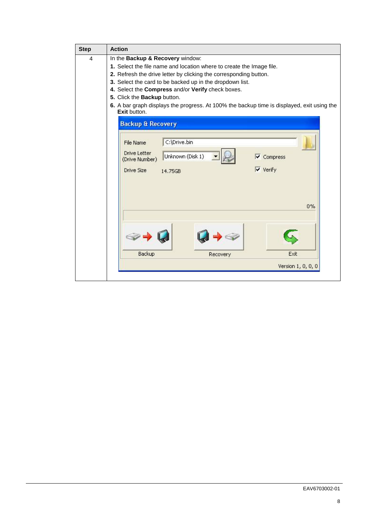| <b>Step</b>    | <b>Action</b>                                                                                              |
|----------------|------------------------------------------------------------------------------------------------------------|
| $\overline{4}$ | In the Backup & Recovery window:                                                                           |
|                | 1. Select the file name and location where to create the Image file.                                       |
|                | 2. Refresh the drive letter by clicking the corresponding button.                                          |
|                | 3. Select the card to be backed up in the dropdown list.                                                   |
|                | 4. Select the Compress and/or Verify check boxes.                                                          |
|                | 5. Click the Backup button.                                                                                |
|                | 6. A bar graph displays the progress. At 100% the backup time is displayed, exit using the<br>Exit button. |
|                | <b>Backup &amp; Recovery</b>                                                                               |
|                | C:\Drive.bin<br>File Name<br>Drive Letter                                                                  |
|                | Unknown (Disk 1)<br>$\overline{\mathbf{v}}$ Compress<br>(Drive Number)                                     |
|                | $\triangledown$ Verify<br>Drive Size<br>14.75GB                                                            |
|                | $0\%$                                                                                                      |
|                | Backup<br>Exit<br>Recovery                                                                                 |
|                | Version 1, 0, 0, 0                                                                                         |
|                |                                                                                                            |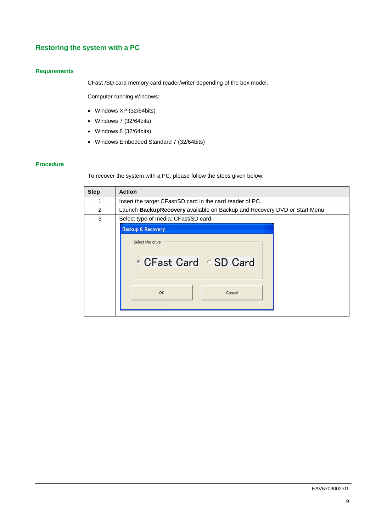### <span id="page-8-0"></span>**Restoring the system with a PC**

#### **Requirements**

CFast /SD card memory card reader/writer depending of the box model.

Computer running Windows:

- Windows XP (32/64bits)
- Windows 7 (32/64bits)
- Windows 8 (32/64bits)
- Windows Embedded Standard 7 (32/64bits)

#### **Procedure**

To recover the system with a PC, please follow the steps given below:

| <b>Step</b> | <b>Action</b>                                                                          |
|-------------|----------------------------------------------------------------------------------------|
| 1           | Insert the target CFast/SD card in the card reader of PC.                              |
| 2           | Launch BackupRecovery available on Backup and Recovery DVD or Start Menu               |
| 3           | Select type of media: CFast/SD card.                                                   |
|             | <b>Backup &amp; Recovery</b><br>Select the drive<br>CFast Card SD Card<br>OK<br>Cancel |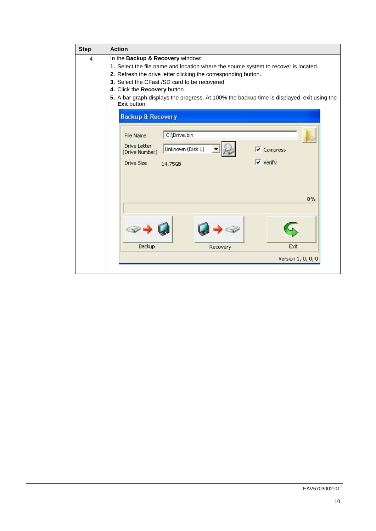| <b>Step</b> | <b>Action</b>                                                                                                                                                                                                                                                                                                                                                                             |
|-------------|-------------------------------------------------------------------------------------------------------------------------------------------------------------------------------------------------------------------------------------------------------------------------------------------------------------------------------------------------------------------------------------------|
| 4           | In the Backup & Recovery window:<br>1. Select the file name and location where the source system to recover is located.<br>2. Refresh the drive letter clicking the corresponding button.<br>3. Select the CFast /SD card to be recovered.<br>4. Click the Recovery button.<br>5. A bar graph displays the progress. At 100% the backup time is displayed, exit using the<br>Exit button. |
|             | <b>Backup &amp; Recovery</b><br>C:\Drive.bin<br>File Name<br>Drive Letter<br>Unknown (Disk 1)<br>$\triangledown$ Compress<br>(Drive Number)<br>$\overline{\mathsf{v}}$ Verify<br>Drive Size<br>14.75GB                                                                                                                                                                                    |
|             | $0\%$<br>Backup<br>Exit<br>Recovery<br>Version 1, 0, 0, 0                                                                                                                                                                                                                                                                                                                                 |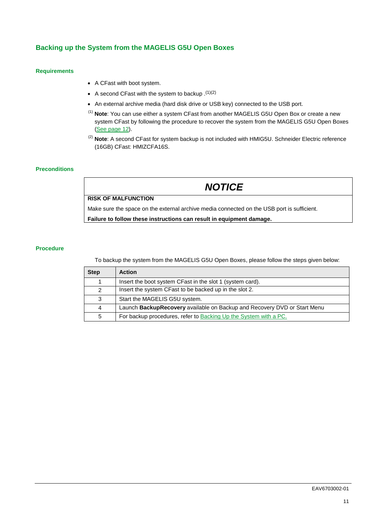#### **Backing up the System from the MAGELIS G5U Open Boxes**

#### **Requirements**

- A CFast with boot system.
- A second CFast with the system to backup  $(1)(2)$
- An external archive media (hard disk drive or USB key) connected to the USB port.
- (1) **Note**: You can use either a system CFast from another MAGELIS G5U Open Box or create a new system CFast by following the procedure to recover the system from the MAGELIS G5U Open Boxes [\(See page 12\)](#page-11-0).
- (2) **Note**: A second CFast for system backup is not included with HMIG5U. Schneider Electric reference (16GB) CFast: HMIZCFA16S.

#### **Preconditions**

## *NOTICE*

**RISK OF MALFUNCTION**

Make sure the space on the external archive media connected on the USB port is sufficient.

**Failure to follow these instructions can result in equipment damage.**

#### **Procedure**

To backup the system from the MAGELIS G5U Open Boxes, please follow the steps given below:

| <b>Step</b> | <b>Action</b>                                                            |
|-------------|--------------------------------------------------------------------------|
|             | Insert the boot system CFast in the slot 1 (system card).                |
| 2           | Insert the system CFast to be backed up in the slot 2.                   |
| 3           | Start the MAGELIS G5U system.                                            |
| 4           | Launch BackupRecovery available on Backup and Recovery DVD or Start Menu |
| 5           | For backup procedures, refer to Backing Up the System with a PC.         |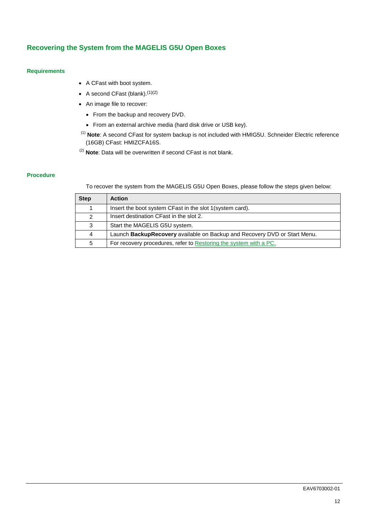#### <span id="page-11-0"></span>**Recovering the System from the MAGELIS G5U Open Boxes**

#### **Requirements**

- A CFast with boot system.
- A second CFast (blank). $(1)(2)$
- An image file to recover:
	- From the backup and recovery DVD.
	- From an external archive media (hard disk drive or USB key).
- (1) **Note**: A second CFast for system backup is not included with HMIG5U. Schneider Electric reference (16GB) CFast: HMIZCFA16S.
- (2) **Note**: Data will be overwritten if second CFast is not blank.

#### **Procedure**

To recover the system from the MAGELIS G5U Open Boxes, please follow the steps given below:

| <b>Step</b> | <b>Action</b>                                                             |
|-------------|---------------------------------------------------------------------------|
| 1           | Insert the boot system CFast in the slot 1 (system card).                 |
| 2           | Insert destination CFast in the slot 2.                                   |
| 3           | Start the MAGELIS G5U system.                                             |
| 4           | Launch BackupRecovery available on Backup and Recovery DVD or Start Menu. |
| 5           | For recovery procedures, refer to Restoring the system with a PC.         |